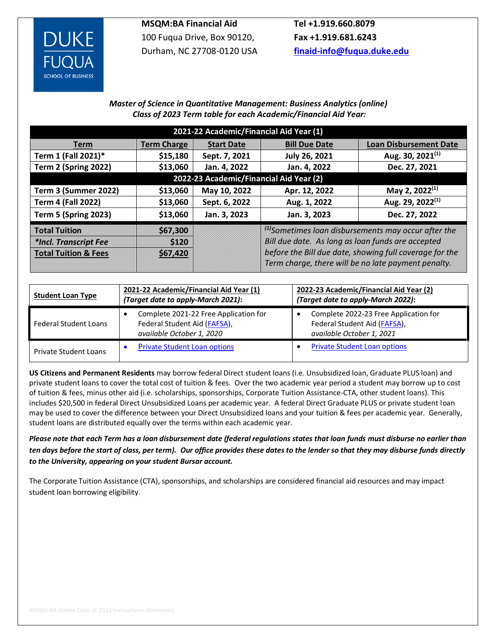

## **MSQM:BA Financial Aid**

100 Fuqua Drive, Box 90120, Durham, NC 27708-0120 USA

**Tel +1.919.660.8079 Fax +1.919.681.6243 [finaid-info@fuqua.duke.edu](mailto:finaid-info@fuqua.duke.edu)**

## *Master of Science in Quantitative Management: Business Analytics (online) Class of 2023 Term table for each Academic/Financial Aid Year:*

| 2021-22 Academic/Financial Aid Year (1) |                    |                   |                                                                                                                |                               |  |  |  |  |  |  |
|-----------------------------------------|--------------------|-------------------|----------------------------------------------------------------------------------------------------------------|-------------------------------|--|--|--|--|--|--|
| <b>Term</b>                             | <b>Term Charge</b> | <b>Start Date</b> | <b>Bill Due Date</b>                                                                                           | <b>Loan Disbursement Date</b> |  |  |  |  |  |  |
| Term 1 (Fall 2021)*                     | \$15,180           | Sept. 7, 2021     | <b>July 26, 2021</b>                                                                                           | Aug. 30, 2021 $(1)$           |  |  |  |  |  |  |
| <b>Term 2 (Spring 2022)</b>             | \$13,060           | Jan. 4, 2022      | Jan. 4, 2022                                                                                                   | Dec. 27, 2021                 |  |  |  |  |  |  |
| 2022-23 Academic/Financial Aid Year (2) |                    |                   |                                                                                                                |                               |  |  |  |  |  |  |
| Term 3 (Summer 2022)                    | \$13,060           | May 10, 2022      | Apr. 12, 2022                                                                                                  | May 2, 2022 <sup>(1)</sup>    |  |  |  |  |  |  |
| <b>Term 4 (Fall 2022)</b>               | \$13,060           | Sept. 6, 2022     | Aug. 1, 2022                                                                                                   | Aug. 29, 2022 <sup>(1)</sup>  |  |  |  |  |  |  |
| <b>Term 5 (Spring 2023)</b>             | \$13,060           | Jan. 3, 2023      | Jan. 3, 2023                                                                                                   | Dec. 27, 2022                 |  |  |  |  |  |  |
| <b>Total Tuition</b>                    | \$67,300           |                   | $(1)$ Sometimes loan disbursements may occur after the                                                         |                               |  |  |  |  |  |  |
| *Incl. Transcript Fee                   | \$120              |                   | Bill due date. As long as loan funds are accepted                                                              |                               |  |  |  |  |  |  |
| <b>Total Tuition &amp; Fees</b>         | \$67,420           |                   | before the Bill due date, showing full coverage for the<br>Term charge, there will be no late payment penalty. |                               |  |  |  |  |  |  |
|                                         |                    |                   |                                                                                                                |                               |  |  |  |  |  |  |

| <b>Student Loan Type</b>     | 2021-22 Academic/Financial Aid Year (1)<br>(Target date to apply-March 2021):                      | 2022-23 Academic/Financial Aid Year (2)<br>(Target date to apply-March 2022):                      |  |  |  |
|------------------------------|----------------------------------------------------------------------------------------------------|----------------------------------------------------------------------------------------------------|--|--|--|
| <b>Federal Student Loans</b> | Complete 2021-22 Free Application for<br>Federal Student Aid (FAFSA),<br>available October 1, 2020 | Complete 2022-23 Free Application for<br>Federal Student Aid (FAFSA),<br>available October 1, 2021 |  |  |  |
| Private Student Loans        | <b>Private Student Loan options</b>                                                                | <b>Private Student Loan options</b>                                                                |  |  |  |

**US Citizens and Permanent Residents** may borrow federal Direct student loans (i.e. Unsubsidized loan, Graduate PLUS loan) and private student loans to cover the total cost of tuition & fees. Over the two academic year period a student may borrow up to cost of tuition & fees, minus other aid (i.e. scholarships, sponsorships, Corporate Tuition Assistance-CTA, other student loans). This includes \$20,500 in federal Direct Unsubsidized Loans per academic year. A federal Direct Graduate PLUS or private student loan may be used to cover the difference between your Direct Unsubsidized loans and your tuition & fees per academic year. Generally, student loans are distributed equally over the terms within each academic year.

*Please note that each Term has a loan disbursement date (federal regulations states that loan funds must disburse no earlier than ten days before the start of class, per term). Our office provides these dates to the lender so that they may disburse funds directly to the University, appearing on your student Bursar account.*

The Corporate Tuition Assistance (CTA), sponsorships, and scholarships are considered financial aid resources and may impact student loan borrowing eligibility.